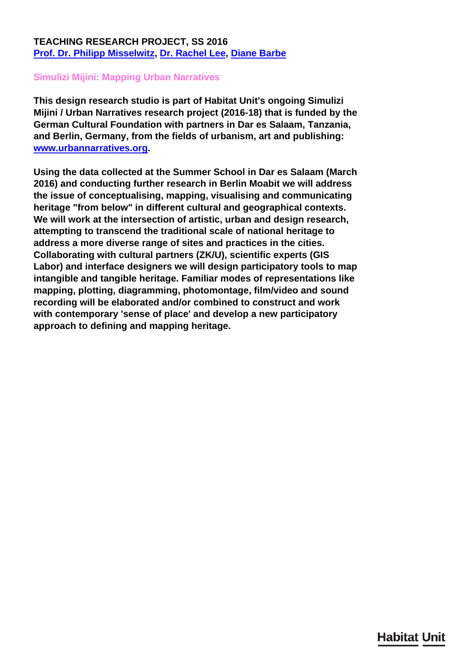## **TEACHING RESEARCH PROJECT, SS 2016 [Prof. Dr. Philipp Misselwitz,](/en/team/philipp-misselwitz/) [Dr. Rachel Lee,](/en/team/rachel-lee/) [Diane Barbe](/en/team/diane-barbe/)**

## **Simulizi Mijini: Mapping Urban Narratives**

**This design research studio is part of Habitat Unit's ongoing Simulizi Mijini / Urban Narratives research project (2016-18) that is funded by the German Cultural Foundation with partners in Dar es Salaam, Tanzania, and Berlin, Germany, from the fields of urbanism, art and publishing: [www.urbannarratives.org](http://www.urbannarratives.org).**

**Using the data collected at the Summer School in Dar es Salaam (March 2016) and conducting further research in Berlin Moabit we will address the issue of conceptualising, mapping, visualising and communicating heritage "from below" in different cultural and geographical contexts. We will work at the intersection of artistic, urban and design research, attempting to transcend the traditional scale of national heritage to address a more diverse range of sites and practices in the cities. Collaborating with cultural partners (ZK/U), scientific experts (GIS Labor) and interface designers we will design participatory tools to map intangible and tangible heritage. Familiar modes of representations like mapping, plotting, diagramming, photomontage, film/video and sound recording will be elaborated and/or combined to construct and work with contemporary 'sense of place' and develop a new participatory approach to defining and mapping heritage.**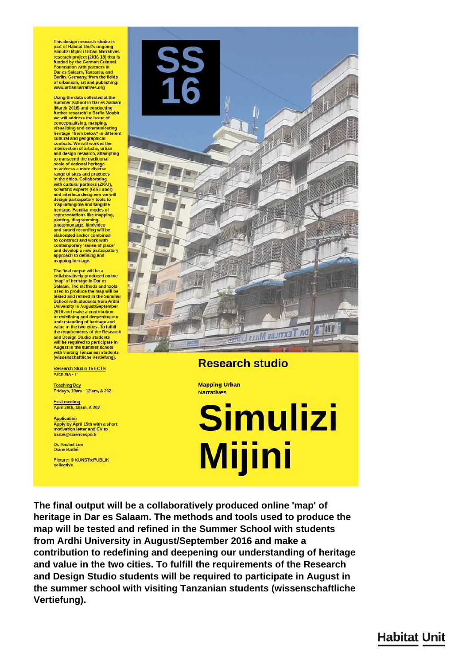This design research studio is<br>part of Habitat Unit's ongoing<br>Simulizi Mijini / Urban Narratives **Example 1** Polear National Polear<br>research project (2016-18) that is<br>funded by the German Cultural<br>Foundation with partners in Dar es Salaam, Tanzania, and Berlin, Germany, from the fields of urbanism, art and publishing: www.urbannarratives.org

Using the data collected at the<br>Summer School in Dar es Salaam (March 2016) and conducting<br>further research in Berlin Moa<br>we will address the issue of ,<br>ahit conceptualising, mapping,<br>visualising and communicating<br>heritage "from below" in different cultural and geographical<br>contexts. We will work at the intersection of artistic, urban<br>and design research, attempting to transcend the traditional scale of national heritage<br>to address a more diverse range of sites and practices<br>in the cities. Collaborating with cultural partners (ZK/U) scientific experts (GIS Labor)<br>and interface designers we will<br>design participatory tools to<br>map intangible and tangible heritage. Familiar modes of<br>representations like mapping,<br>plotting, diagramming, photomontage, film/video<br>and sound recording will be<br>elaborated and/or combined to construct and work with contemporary 'sense of place'<br>and develop a new participatory<br>approach to defining and mapping heritage.

The final output will be a collaboratively produced online 'map' of heritage in Dar es<br>Salaam. The methods and tools used to produce the map will be tested and refined in the Summer School with students from Ardhi<br>University in August/September 2016 and make a contribution to redefining and deepening our<br>understanding of heritage and value in the two cities. To fulfil the requirements of the Research<br>and Design Studio students will be required to participate in August in the summer school<br>with visiting Tanzanian students<br>(wissenschaftliche Vertiefung).

Research Studio 15 ECTS  $ArchMA - F$ 

Teaching Day<br>Fridays, 10am - 12 am, A 202

**First meeting** April 29th, 10am, A 202

Application<br>Apply by April 15th with a short motivation letter and CV to barbe@sciencespo.fr

Dr. Rachel Lee Diane Barbé

Picture: © KUNSTrePUBLIK collective



## **Research studio**

**Mapping Urban Narratives** 

**Simulizi** <u>Mijini</u>

The final output will be a collaboratively produced online 'map' of heritage in Dar es Salaam. The methods and tools used to produce the map will be tested and refined in the Summer School with students from Ardhi University in August/September 2016 and make a contribution to redefining and deepening our understanding of heritage and value in the two cities. To fulfill the requirements of the Research and Design Studio students will be required to participate in August in the summer school with visiting Tanzanian students (wissenschaftliche Vertiefung).

## **Habitat Unit**